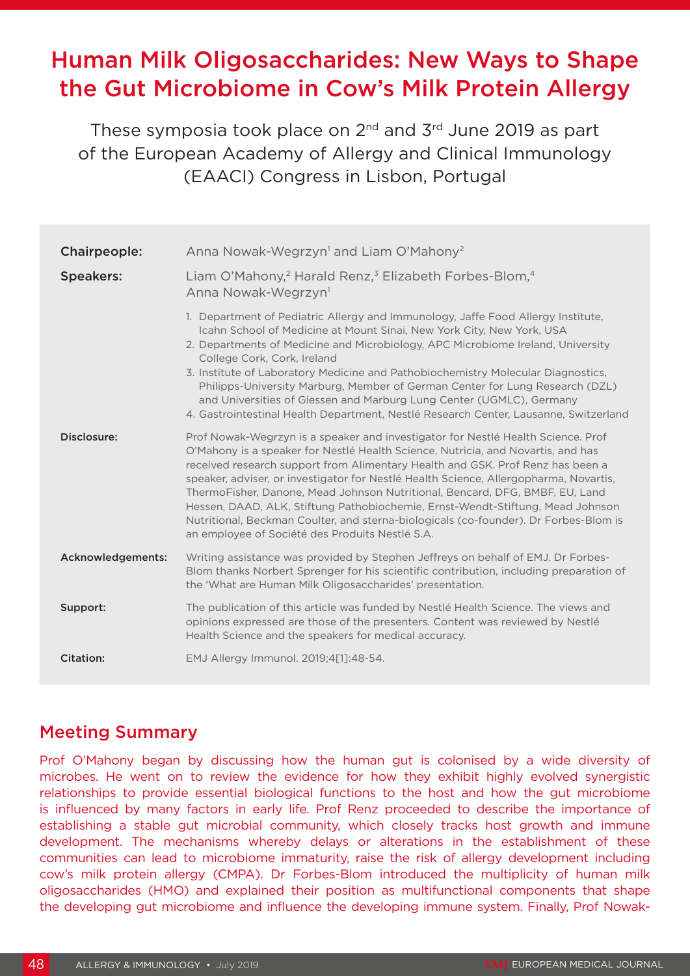# Human Milk Oligosaccharides: New Ways to Shape the Gut Microbiome in Cow's Milk Protein Allergy

These symposia took place on 2<sup>nd</sup> and 3<sup>rd</sup> June 2019 as part of the European Academy of Allergy and Clinical Immunology (EAACI) Congress in Lisbon, Portugal

| Chairpeople:      | Anna Nowak-Wegrzyn <sup>1</sup> and Liam O'Mahony <sup>2</sup>                                                                                                                                                                                                                                                                                                                                                                                                                                                                                                                                                                                               |
|-------------------|--------------------------------------------------------------------------------------------------------------------------------------------------------------------------------------------------------------------------------------------------------------------------------------------------------------------------------------------------------------------------------------------------------------------------------------------------------------------------------------------------------------------------------------------------------------------------------------------------------------------------------------------------------------|
| <b>Speakers:</b>  | Liam O'Mahony, <sup>2</sup> Harald Renz, <sup>3</sup> Elizabeth Forbes-Blom, <sup>4</sup><br>Anna Nowak-Wegrzyn <sup>1</sup>                                                                                                                                                                                                                                                                                                                                                                                                                                                                                                                                 |
|                   | 1. Department of Pediatric Allergy and Immunology, Jaffe Food Allergy Institute,<br>Icahn School of Medicine at Mount Sinai, New York City, New York, USA<br>2. Departments of Medicine and Microbiology, APC Microbiome Ireland, University<br>College Cork, Cork, Ireland<br>3. Institute of Laboratory Medicine and Pathobiochemistry Molecular Diagnostics,<br>Philipps-University Marburg, Member of German Center for Lung Research (DZL)<br>and Universities of Giessen and Marburg Lung Center (UGMLC), Germany<br>4. Gastrointestinal Health Department, Nestlé Research Center, Lausanne, Switzerland                                              |
| Disclosure:       | Prof Nowak-Wegrzyn is a speaker and investigator for Nestlé Health Science. Prof<br>O'Mahony is a speaker for Nestlé Health Science, Nutricia, and Novartis, and has<br>received research support from Alimentary Health and GSK. Prof Renz has been a<br>speaker, adviser, or investigator for Nestlé Health Science, Allergopharma, Novartis,<br>ThermoFisher, Danone, Mead Johnson Nutritional, Bencard, DFG, BMBF, EU, Land<br>Hessen, DAAD, ALK, Stiftung Pathobiochemie, Ernst-Wendt-Stiftung, Mead Johnson<br>Nutritional, Beckman Coulter, and sterna-biologicals (co-founder). Dr Forbes-Blom is<br>an employee of Société des Produits Nestlé S.A. |
| Acknowledgements: | Writing assistance was provided by Stephen Jeffreys on behalf of EMJ. Dr Forbes-<br>Blom thanks Norbert Sprenger for his scientific contribution, including preparation of<br>the 'What are Human Milk Oligosaccharides' presentation.                                                                                                                                                                                                                                                                                                                                                                                                                       |
| Support:          | The publication of this article was funded by Nestlé Health Science. The views and<br>opinions expressed are those of the presenters. Content was reviewed by Nestlé<br>Health Science and the speakers for medical accuracy.                                                                                                                                                                                                                                                                                                                                                                                                                                |
| <b>Citation:</b>  | EMJ Allergy Immunol. 2019;4[1]:48-54.                                                                                                                                                                                                                                                                                                                                                                                                                                                                                                                                                                                                                        |

### Meeting Summary

Prof O'Mahony began by discussing how the human gut is colonised by a wide diversity of microbes. He went on to review the evidence for how they exhibit highly evolved synergistic relationships to provide essential biological functions to the host and how the gut microbiome is influenced by many factors in early life. Prof Renz proceeded to describe the importance of establishing a stable gut microbial community, which closely tracks host growth and immune development. The mechanisms whereby delays or alterations in the establishment of these communities can lead to microbiome immaturity, raise the risk of allergy development including cow's milk protein allergy (CMPA). Dr Forbes-Blom introduced the multiplicity of human milk oligosaccharides (HMO) and explained their position as multifunctional components that shape the developing gut microbiome and influence the developing immune system. Finally, Prof Nowak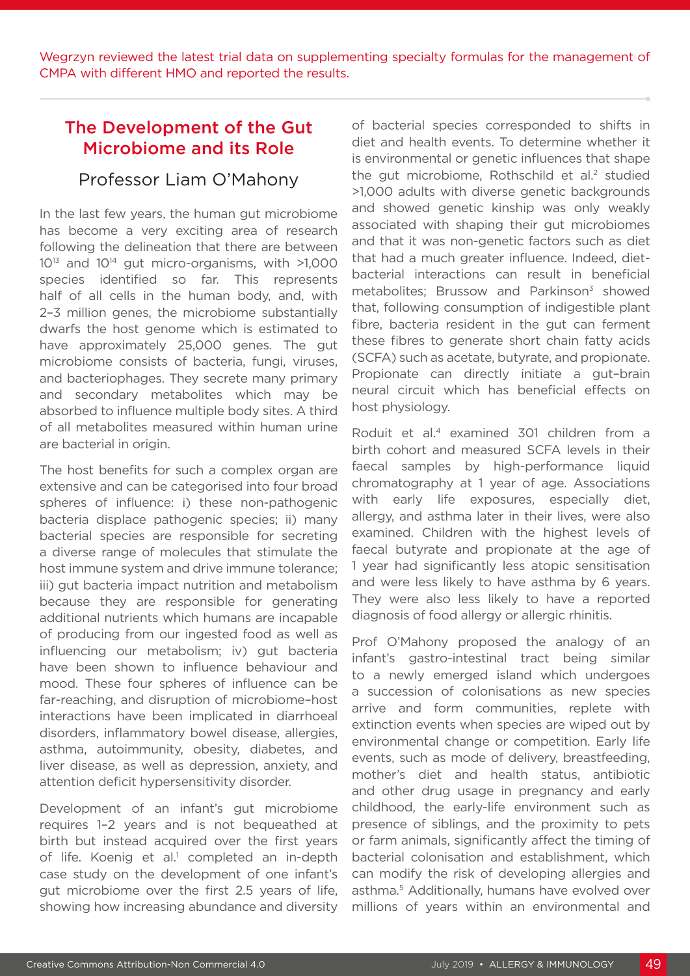Wegrzyn reviewed the latest trial data on supplementing specialty formulas for the management of CMPA with different HMO and reported the results.

# The Development of the Gut Microbiome and its Role

#### Professor Liam O'Mahony

In the last few years, the human gut microbiome has become a very exciting area of research following the delineation that there are between 1013 and 1014 gut micro-organisms, with >1,000 species identified so far. This represents half of all cells in the human body, and, with 2–3 million genes, the microbiome substantially dwarfs the host genome which is estimated to have approximately 25,000 genes. The gut microbiome consists of bacteria, fungi, viruses, and bacteriophages. They secrete many primary and secondary metabolites which may be absorbed to influence multiple body sites. A third of all metabolites measured within human urine are bacterial in origin.

The host benefits for such a complex organ are extensive and can be categorised into four broad spheres of influence: i) these non-pathogenic bacteria displace pathogenic species; ii) many bacterial species are responsible for secreting a diverse range of molecules that stimulate the host immune system and drive immune tolerance; iii) gut bacteria impact nutrition and metabolism because they are responsible for generating additional nutrients which humans are incapable of producing from our ingested food as well as influencing our metabolism; iv) gut bacteria have been shown to influence behaviour and mood. These four spheres of influence can be far-reaching, and disruption of microbiome–host interactions have been implicated in diarrhoeal disorders, inflammatory bowel disease, allergies, asthma, autoimmunity, obesity, diabetes, and liver disease, as well as depression, anxiety, and attention deficit hypersensitivity disorder.

Development of an infant's gut microbiome requires 1–2 years and is not bequeathed at birth but instead acquired over the first years of life. Koenig et al.<sup>1</sup> completed an in-depth case study on the development of one infant's gut microbiome over the first 2.5 years of life, showing how increasing abundance and diversity

of bacterial species corresponded to shifts in diet and health events. To determine whether it is environmental or genetic influences that shape the gut microbiome. Rothschild et al.<sup>2</sup> studied >1,000 adults with diverse genetic backgrounds and showed genetic kinship was only weakly associated with shaping their gut microbiomes and that it was non-genetic factors such as diet that had a much greater influence. Indeed, dietbacterial interactions can result in beneficial metabolites; Brussow and Parkinson $3$  showed that, following consumption of indigestible plant fibre, bacteria resident in the gut can ferment these fibres to generate short chain fatty acids (SCFA) such as acetate, butyrate, and propionate. Propionate can directly initiate a gut–brain neural circuit which has beneficial effects on host physiology.

Roduit et al.4 examined 301 children from a birth cohort and measured SCFA levels in their faecal samples by high-performance liquid chromatography at 1 year of age. Associations with early life exposures, especially diet, allergy, and asthma later in their lives, were also examined. Children with the highest levels of faecal butyrate and propionate at the age of 1 year had significantly less atopic sensitisation and were less likely to have asthma by 6 years. They were also less likely to have a reported diagnosis of food allergy or allergic rhinitis.

Prof O'Mahony proposed the analogy of an infant's gastro-intestinal tract being similar to a newly emerged island which undergoes a succession of colonisations as new species arrive and form communities, replete with extinction events when species are wiped out by environmental change or competition. Early life events, such as mode of delivery, breastfeeding, mother's diet and health status, antibiotic and other drug usage in pregnancy and early childhood, the early-life environment such as presence of siblings, and the proximity to pets or farm animals, significantly affect the timing of bacterial colonisation and establishment, which can modify the risk of developing allergies and asthma.5 Additionally, humans have evolved over millions of years within an environmental and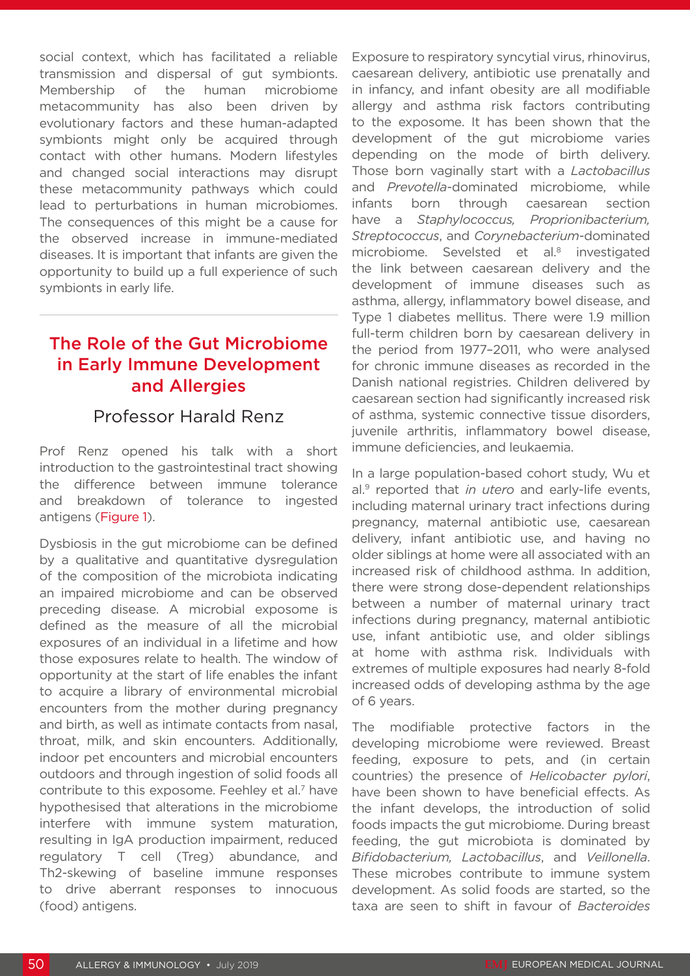social context, which has facilitated a reliable transmission and dispersal of gut symbionts. Membership of the human microbiome metacommunity has also been driven by evolutionary factors and these human-adapted symbionts might only be acquired through contact with other humans. Modern lifestyles and changed social interactions may disrupt these metacommunity pathways which could lead to perturbations in human microbiomes. The consequences of this might be a cause for the observed increase in immune-mediated diseases. It is important that infants are given the opportunity to build up a full experience of such symbionts in early life.

# The Role of the Gut Microbiome in Early Immune Development and Allergies

#### Professor Harald Renz

Prof Renz opened his talk with a short introduction to the gastrointestinal tract showing the difference between immune tolerance and breakdown of tolerance to ingested antigens (Figure 1).

Dysbiosis in the gut microbiome can be defined by a qualitative and quantitative dysregulation of the composition of the microbiota indicating an impaired microbiome and can be observed preceding disease. A microbial exposome is defined as the measure of all the microbial exposures of an individual in a lifetime and how those exposures relate to health. The window of opportunity at the start of life enables the infant to acquire a library of environmental microbial encounters from the mother during pregnancy and birth, as well as intimate contacts from nasal, throat, milk, and skin encounters. Additionally, indoor pet encounters and microbial encounters outdoors and through ingestion of solid foods all contribute to this exposome. Feehley et al.<sup>7</sup> have hypothesised that alterations in the microbiome interfere with immune system maturation, resulting in IgA production impairment, reduced regulatory T cell (Treg) abundance, and Th2-skewing of baseline immune responses to drive aberrant responses to innocuous (food) antigens.

Exposure to respiratory syncytial virus, rhinovirus, caesarean delivery, antibiotic use prenatally and in infancy, and infant obesity are all modifiable allergy and asthma risk factors contributing to the exposome. It has been shown that the development of the gut microbiome varies depending on the mode of birth delivery. Those born vaginally start with a *Lactobacillus* and *Prevotella*-dominated microbiome, while infants born through caesarean section have a *Staphylococcus, Proprionibacterium, Streptococcus*, and *Corynebacterium*-dominated microbiome. Sevelsted et al.<sup>8</sup> investigated the link between caesarean delivery and the development of immune diseases such as asthma, allergy, inflammatory bowel disease, and Type 1 diabetes mellitus. There were 1.9 million full-term children born by caesarean delivery in the period from 1977–2011, who were analysed for chronic immune diseases as recorded in the Danish national registries. Children delivered by caesarean section had significantly increased risk of asthma, systemic connective tissue disorders, juvenile arthritis, inflammatory bowel disease, immune deficiencies, and leukaemia.

In a large population-based cohort study, Wu et al.9 reported that *in utero* and early-life events, including maternal urinary tract infections during pregnancy, maternal antibiotic use, caesarean delivery, infant antibiotic use, and having no older siblings at home were all associated with an increased risk of childhood asthma. In addition, there were strong dose-dependent relationships between a number of maternal urinary tract infections during pregnancy, maternal antibiotic use, infant antibiotic use, and older siblings at home with asthma risk. Individuals with extremes of multiple exposures had nearly 8-fold increased odds of developing asthma by the age of 6 years.

The modifiable protective factors in the developing microbiome were reviewed. Breast feeding, exposure to pets, and (in certain countries) the presence of *Helicobacter pylori*, have been shown to have beneficial effects. As the infant develops, the introduction of solid foods impacts the gut microbiome. During breast feeding, the gut microbiota is dominated by *Bifidobacterium, Lactobacillus*, and *Veillonella*. These microbes contribute to immune system development. As solid foods are started, so the taxa are seen to shift in favour of *Bacteroides*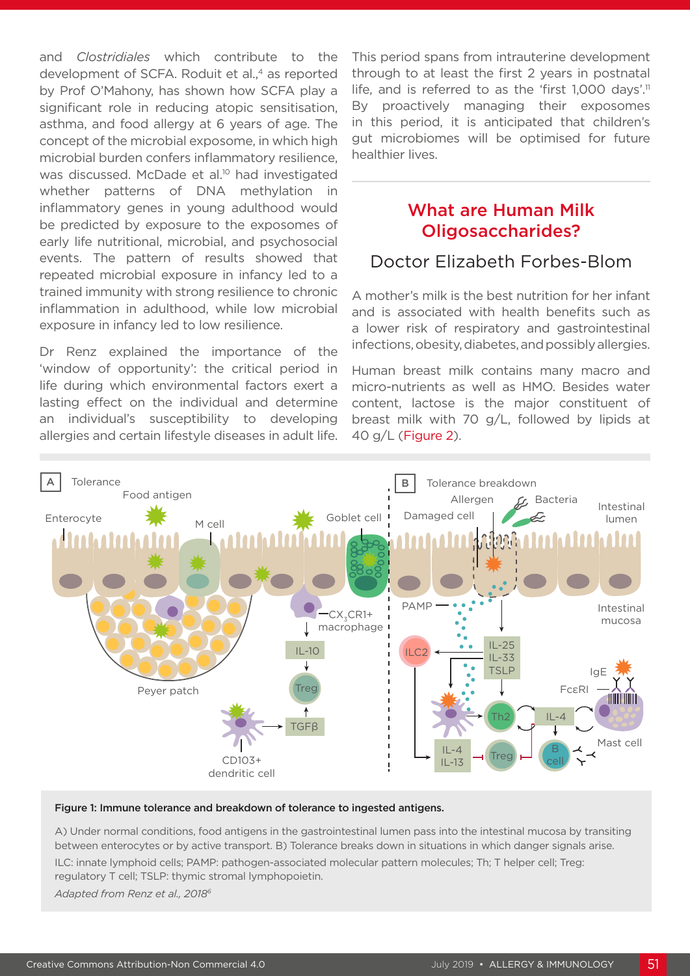and *Clostridiales* which contribute to the development of SCFA. Roduit et al.<sup>4</sup> as reported by Prof O'Mahony, has shown how SCFA play a significant role in reducing atopic sensitisation, asthma, and food allergy at 6 years of age. The concept of the microbial exposome, in which high microbial burden confers inflammatory resilience, was discussed. McDade et al.<sup>10</sup> had investigated whether patterns of DNA methylation in inflammatory genes in young adulthood would be predicted by exposure to the exposomes of early life nutritional, microbial, and psychosocial events. The pattern of results showed that repeated microbial exposure in infancy led to a trained immunity with strong resilience to chronic inflammation in adulthood, while low microbial exposure in infancy led to low resilience.

Dr Renz explained the importance of the 'window of opportunity': the critical period in life during which environmental factors exert a lasting effect on the individual and determine an individual's susceptibility to developing allergies and certain lifestyle diseases in adult life. This period spans from intrauterine development through to at least the first 2 years in postnatal life, and is referred to as the 'first 1,000 days'.<sup>11</sup> By proactively managing their exposomes in this period, it is anticipated that children's gut microbiomes will be optimised for future healthier lives.

### What are Human Milk Oligosaccharides?

### Doctor Elizabeth Forbes-Blom

A mother's milk is the best nutrition for her infant and is associated with health benefits such as a lower risk of respiratory and gastrointestinal infections, obesity, diabetes, and possibly allergies.

Human breast milk contains many macro and micro-nutrients as well as HMO. Besides water content, lactose is the major constituent of breast milk with 70 g/L, followed by lipids at 40 g/L (Figure 2).



#### Figure 1: Immune tolerance and breakdown of tolerance to ingested antigens.

A) Under normal conditions, food antigens in the gastrointestinal lumen pass into the intestinal mucosa by transiting between enterocytes or by active transport. B) Tolerance breaks down in situations in which danger signals arise.

ILC: innate lymphoid cells; PAMP: pathogen-associated molecular pattern molecules; Th; T helper cell; Treg: regulatory T cell; TSLP: thymic stromal lymphopoietin.

*Adapted from Renz et al., 20186*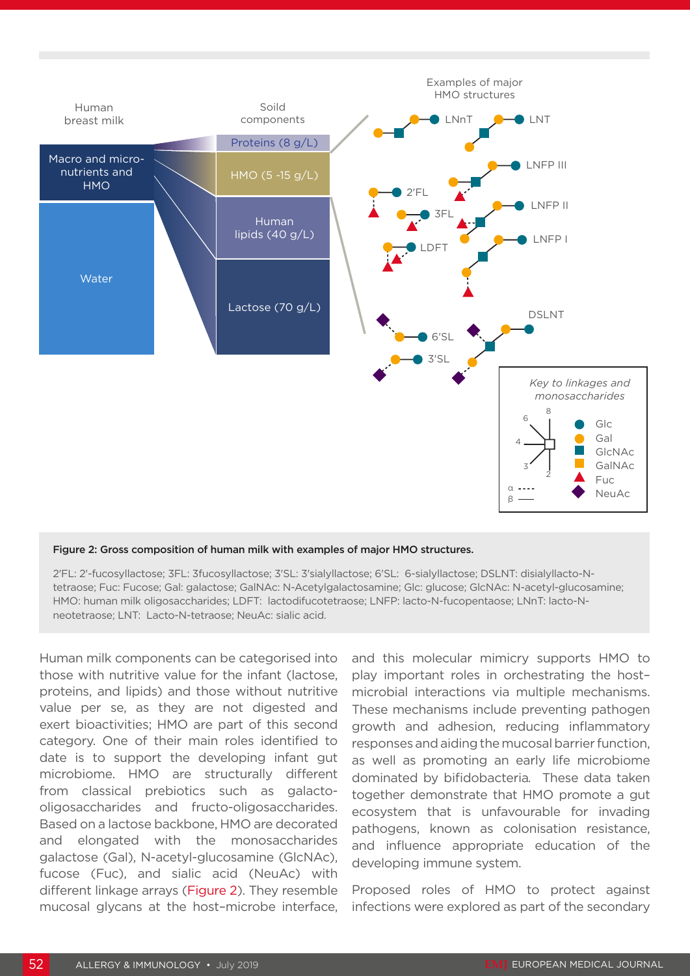

#### Figure 2: Gross composition of human milk with examples of major HMO structures.

2'FL: 2'-fucosyllactose; 3FL: 3fucosyllactose; 3'SL: 3'sialyllactose; 6'SL: 6-sialyllactose; DSLNT: disialyllacto-Ntetraose; Fuc: Fucose; Gal: galactose; GalNAc: N-Acetylgalactosamine; Glc: glucose; GlcNAc: N-acetyl-glucosamine; HMO: human milk oligosaccharides; LDFT: lactodifucotetraose; LNFP: lacto-N-fucopentaose; LNnT: lacto-Nneotetraose; LNT: Lacto-N-tetraose; NeuAc: sialic acid.

Human milk components can be categorised into those with nutritive value for the infant (lactose, proteins, and lipids) and those without nutritive value per se, as they are not digested and exert bioactivities; HMO are part of this second category. One of their main roles identified to date is to support the developing infant gut microbiome. HMO are structurally different from classical prebiotics such as galactooligosaccharides and fructo-oligosaccharides. Based on a lactose backbone, HMO are decorated and elongated with the monosaccharides galactose (Gal), N-acetyl-glucosamine (GlcNAc), fucose (Fuc), and sialic acid (NeuAc) with different linkage arrays (Figure 2). They resemble mucosal glycans at the host–microbe interface, and this molecular mimicry supports HMO to play important roles in orchestrating the host– microbial interactions via multiple mechanisms. These mechanisms include preventing pathogen growth and adhesion, reducing inflammatory responses and aiding the mucosal barrier function, as well as promoting an early life microbiome dominated by bifidobacteria*.* These data taken together demonstrate that HMO promote a gut ecosystem that is unfavourable for invading pathogens, known as colonisation resistance, and influence appropriate education of the developing immune system.

Proposed roles of HMO to protect against infections were explored as part of the secondary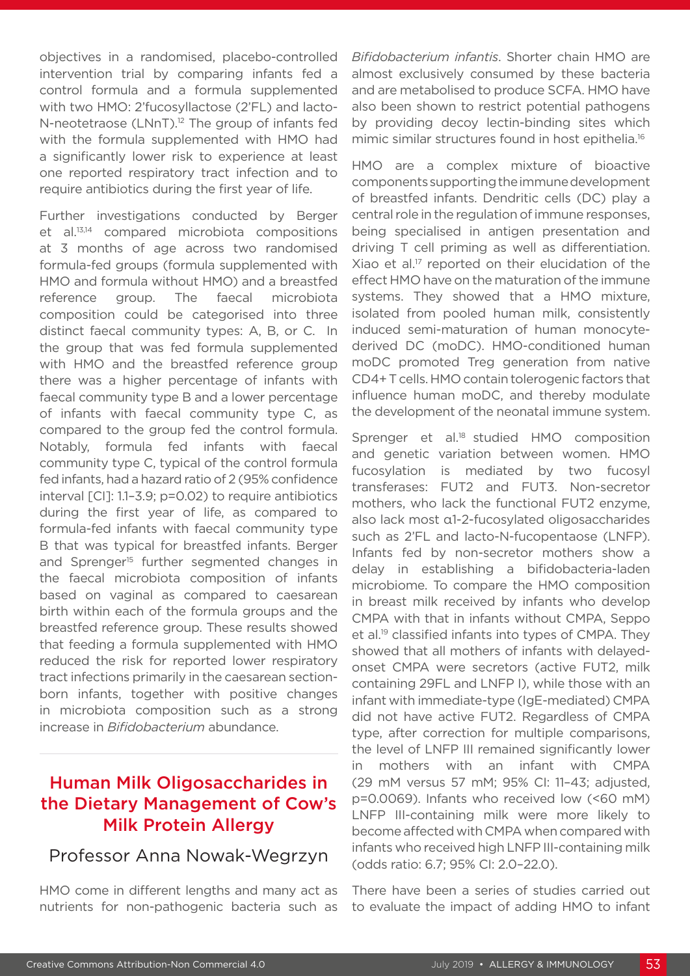objectives in a randomised, placebo-controlled intervention trial by comparing infants fed a control formula and a formula supplemented with two HMO: 2'fucosyllactose (2'FL) and lacto-N-neotetraose (LNnT).<sup>12</sup> The group of infants fed with the formula supplemented with HMO had a significantly lower risk to experience at least one reported respiratory tract infection and to require antibiotics during the first year of life.

Further investigations conducted by Berger et al.13,14 compared microbiota compositions at 3 months of age across two randomised formula-fed groups (formula supplemented with HMO and formula without HMO) and a breastfed reference group. The faecal microbiota composition could be categorised into three distinct faecal community types: A, B, or C. In the group that was fed formula supplemented with HMO and the breastfed reference group there was a higher percentage of infants with faecal community type B and a lower percentage of infants with faecal community type C, as compared to the group fed the control formula. Notably, formula fed infants with faecal community type C, typical of the control formula fed infants, had a hazard ratio of 2 (95% confidence interval [CI]: 1.1–3.9; p=0.02) to require antibiotics during the first year of life, as compared to formula-fed infants with faecal community type B that was typical for breastfed infants. Berger and Sprenger<sup>15</sup> further segmented changes in the faecal microbiota composition of infants based on vaginal as compared to caesarean birth within each of the formula groups and the breastfed reference group. These results showed that feeding a formula supplemented with HMO reduced the risk for reported lower respiratory tract infections primarily in the caesarean sectionborn infants, together with positive changes in microbiota composition such as a strong increase in *Bifidobacterium* abundance.

# Human Milk Oligosaccharides in the Dietary Management of Cow's Milk Protein Allergy

# Professor Anna Nowak-Wegrzyn

HMO come in different lengths and many act as nutrients for non-pathogenic bacteria such as *Bifidobacterium infantis*. Shorter chain HMO are almost exclusively consumed by these bacteria and are metabolised to produce SCFA. HMO have also been shown to restrict potential pathogens by providing decoy lectin-binding sites which mimic similar structures found in host epithelia.<sup>16</sup>

HMO are a complex mixture of bioactive components supporting the immune development of breastfed infants. Dendritic cells (DC) play a central role in the regulation of immune responses, being specialised in antigen presentation and driving T cell priming as well as differentiation. Xiao et al.<sup>17</sup> reported on their elucidation of the effect HMO have on the maturation of the immune systems. They showed that a HMO mixture, isolated from pooled human milk, consistently induced semi-maturation of human monocytederived DC (moDC). HMO-conditioned human moDC promoted Treg generation from native CD4+ T cells. HMO contain tolerogenic factors that influence human moDC, and thereby modulate the development of the neonatal immune system.

Sprenger et al.<sup>18</sup> studied HMO composition and genetic variation between women. HMO fucosylation is mediated by two fucosyl transferases: FUT2 and FUT3. Non-secretor mothers, who lack the functional FUT2 enzyme, also lack most α1-2-fucosylated oligosaccharides such as 2'FL and lacto-N-fucopentaose (LNFP). Infants fed by non-secretor mothers show a delay in establishing a bifidobacteria-laden microbiome. To compare the HMO composition in breast milk received by infants who develop CMPA with that in infants without CMPA, Seppo et al.19 classified infants into types of CMPA. They showed that all mothers of infants with delayedonset CMPA were secretors (active FUT2, milk containing 29FL and LNFP I), while those with an infant with immediate-type (IgE-mediated) CMPA did not have active FUT2. Regardless of CMPA type, after correction for multiple comparisons, the level of LNFP III remained significantly lower in mothers with an infant with CMPA (29 mM versus 57 mM; 95% CI: 11–43; adjusted, p=0.0069). Infants who received low (<60 mM) LNFP III-containing milk were more likely to become affected with CMPA when compared with infants who received high LNFP III-containing milk (odds ratio: 6.7; 95% CI: 2.0–22.0).

There have been a series of studies carried out to evaluate the impact of adding HMO to infant